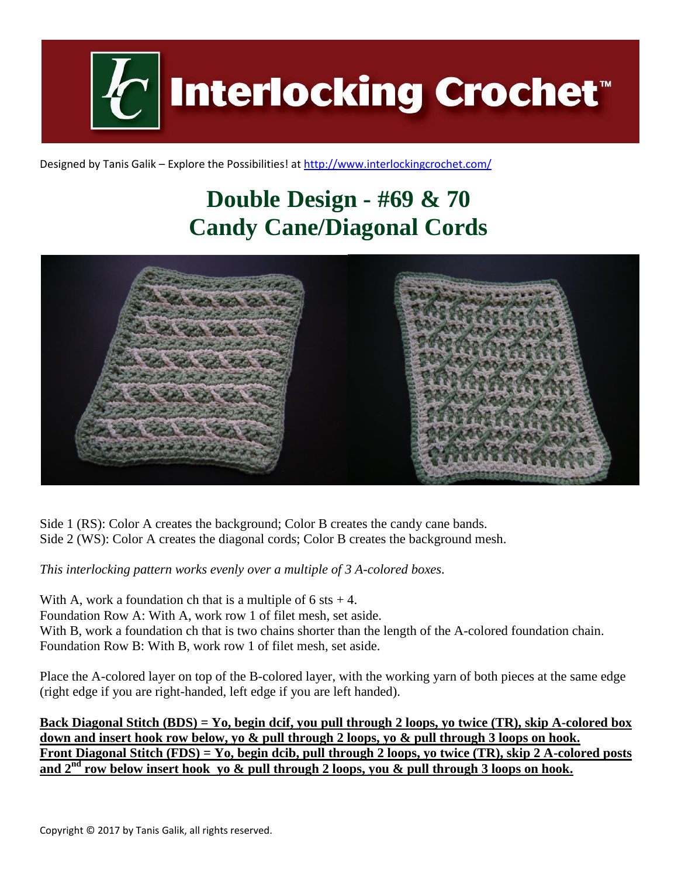

Designed by Tanis Galik – Explore the Possibilities! a[t http://www.interlockingcrochet.com/](http://www.interlockingcrochet.com/)

## **Double Design - #69 & 70 Candy Cane/Diagonal Cords**



Side 1 (RS): Color A creates the background; Color B creates the candy cane bands. Side 2 (WS): Color A creates the diagonal cords; Color B creates the background mesh.

*This interlocking pattern works evenly over a multiple of 3 A-colored boxes.*

With A, work a foundation ch that is a multiple of  $6$  sts  $+4$ . Foundation Row A: With A, work row 1 of filet mesh, set aside. With B, work a foundation ch that is two chains shorter than the length of the A-colored foundation chain. Foundation Row B: With B, work row 1 of filet mesh, set aside.

Place the A-colored layer on top of the B-colored layer, with the working yarn of both pieces at the same edge (right edge if you are right-handed, left edge if you are left handed).

**Back Diagonal Stitch (BDS) = Yo, begin dcif, you pull through 2 loops, yo twice (TR), skip A-colored box down and insert hook row below, yo & pull through 2 loops, yo & pull through 3 loops on hook. Front Diagonal Stitch (FDS) = Yo, begin dcib, pull through 2 loops, yo twice (TR), skip 2 A-colored posts and 2nd row below insert hook yo & pull through 2 loops, you & pull through 3 loops on hook.**